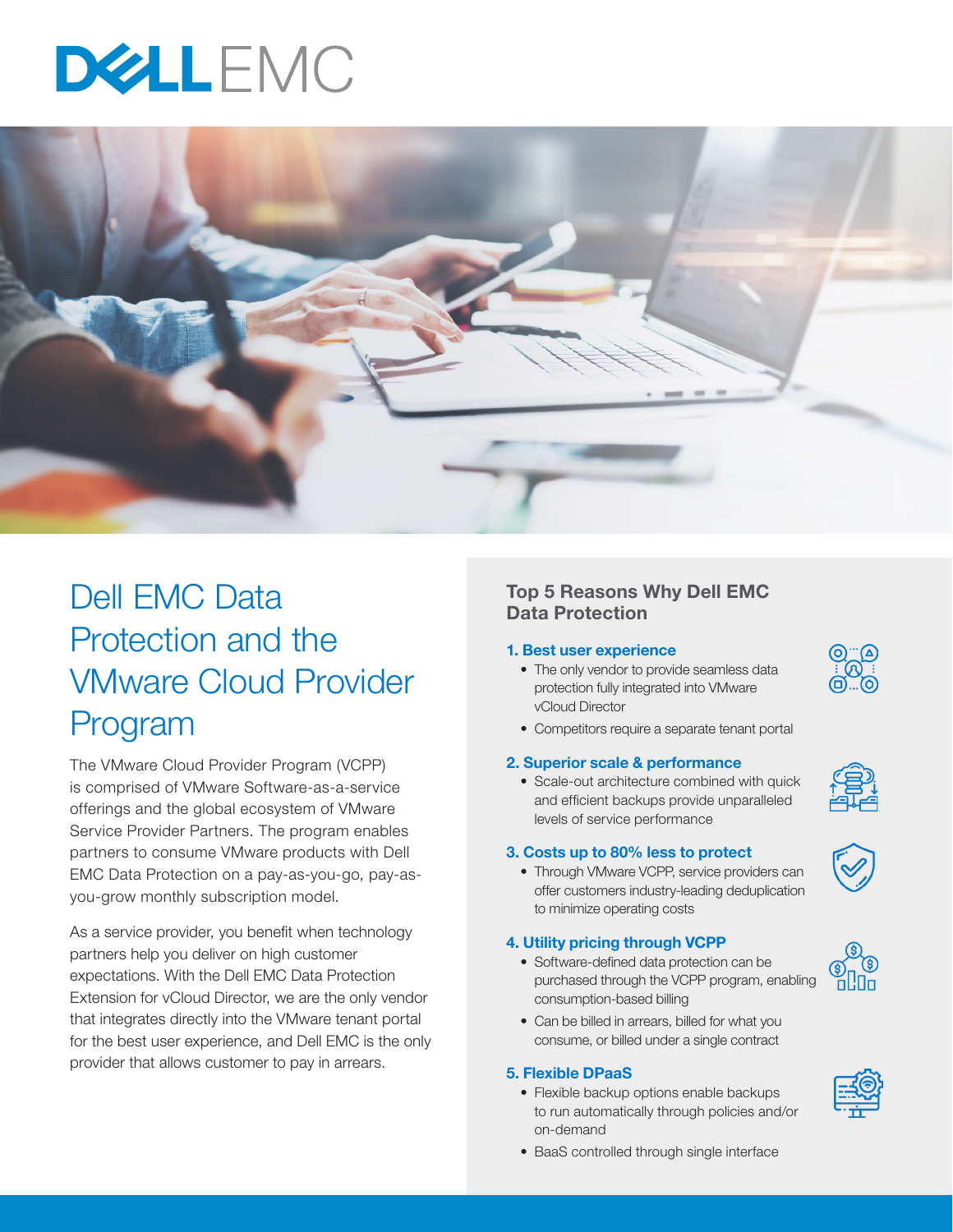# DELEMC



## Dell EMC Data Protection and the VMware Cloud Provider Program

The VMware Cloud Provider Program (VCPP) is comprised of VMware Software-as-a-service offerings and the global ecosystem of VMware Service Provider Partners. The program enables partners to consume VMware products with Dell EMC Data Protection on a pay-as-you-go, pay-asyou-grow monthly subscription model.

As a service provider, you benefit when technology partners help you deliver on high customer expectations. With the Dell EMC Data Protection Extension for vCloud Director, we are the only vendor that integrates directly into the VMware tenant portal for the best user experience, and Dell EMC is the only provider that allows customer to pay in arrears.

#### Top 5 Reasons Why Dell EMC Data Protection

#### 1. Best user experience

- The only vendor to provide seamless data protection fully integrated into VMware vCloud Director
- Competitors require a separate tenant portal

#### 2. Superior scale & performance

• Scale-out architecture combined with quick and efficient backups provide unparalleled levels of service performance

#### 3. Costs up to 80% less to protect

• Through VMware VCPP, service providers can offer customers industry-leading deduplication to minimize operating costs

#### 4. Utility pricing through VCPP

- Software-defined data protection can be purchased through the VCPP program, enabling consumption-based billing
- Can be billed in arrears, billed for what you consume, or billed under a single contract

#### 5. Flexible DPaaS

• Flexible backup options enable backups to run automatically through policies and/or on-demand











• BaaS controlled through single interface